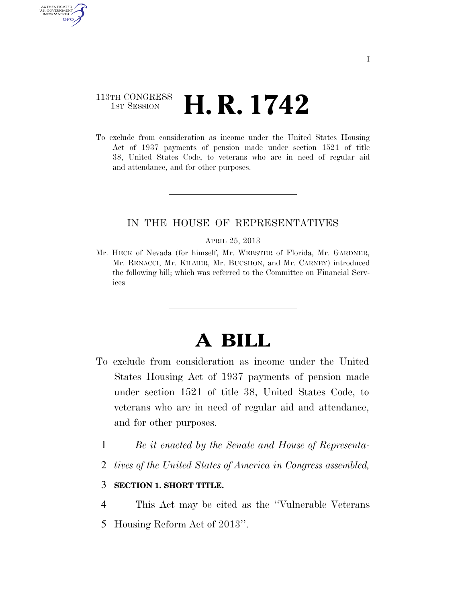## 113TH CONGRESS  $\frac{1}{15T}$  Session **H. R. 1742**

AUTHENTICATED U.S. GOVERNMENT GPO

> To exclude from consideration as income under the United States Housing Act of 1937 payments of pension made under section 1521 of title 38, United States Code, to veterans who are in need of regular aid and attendance, and for other purposes.

### IN THE HOUSE OF REPRESENTATIVES

#### APRIL 25, 2013

Mr. HECK of Nevada (for himself, Mr. WEBSTER of Florida, Mr. GARDNER, Mr. RENACCI, Mr. KILMER, Mr. BUCSHON, and Mr. CARNEY) introduced the following bill; which was referred to the Committee on Financial Services

# **A BILL**

- To exclude from consideration as income under the United States Housing Act of 1937 payments of pension made under section 1521 of title 38, United States Code, to veterans who are in need of regular aid and attendance, and for other purposes.
	- 1 *Be it enacted by the Senate and House of Representa-*
	- 2 *tives of the United States of America in Congress assembled,*

### 3 **SECTION 1. SHORT TITLE.**

4 This Act may be cited as the ''Vulnerable Veterans 5 Housing Reform Act of 2013''.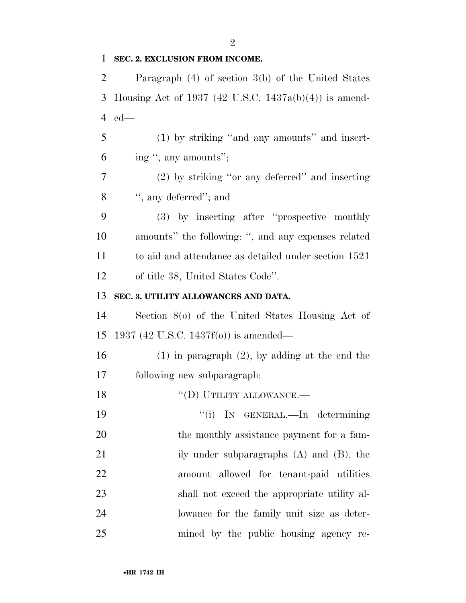$\mathfrak{D}$ 

### **SEC. 2. EXCLUSION FROM INCOME.**

 Paragraph (4) of section 3(b) of the United States Housing Act of 1937 (42 U.S.C. 1437a(b)(4)) is amend-ed—

 (1) by striking ''and any amounts'' and insert-ing '', any amounts'';

 (2) by striking ''or any deferred'' and inserting '', any deferred''; and

 (3) by inserting after ''prospective monthly amounts'' the following: '', and any expenses related to aid and attendance as detailed under section 1521 of title 38, United States Code''.

### **SEC. 3. UTILITY ALLOWANCES AND DATA.**

 Section 8(o) of the United States Housing Act of 1937 (42 U.S.C. 1437f(o)) is amended—

 (1) in paragraph (2), by adding at the end the following new subparagraph:

 $``(D)$  UTILITY ALLOWANCE.—  $\frac{1}{1}$  In GENERAL.—In determining 20 the monthly assistance payment for a fam-21 ily under subparagraphs (A) and (B), the amount allowed for tenant-paid utilities shall not exceed the appropriate utility al- lowance for the family unit size as deter-mined by the public housing agency re-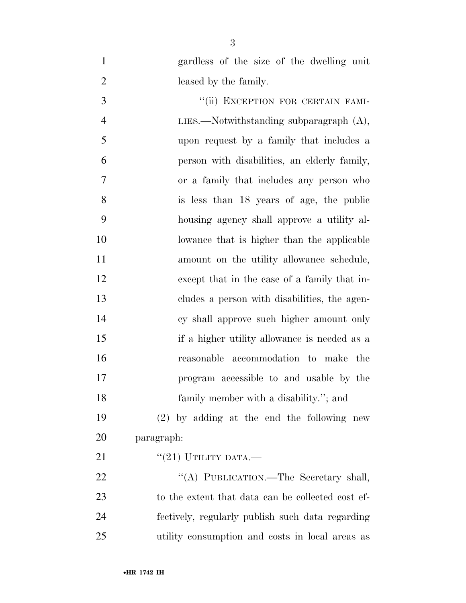gardless of the size of the dwelling unit leased by the family. 3 "(ii) EXCEPTION FOR CERTAIN FAMI-4 LIES.—Notwithstanding subparagraph (A), upon request by a family that includes a person with disabilities, an elderly family, or a family that includes any person who is less than 18 years of age, the public housing agency shall approve a utility al- lowance that is higher than the applicable 11 amount on the utility allowance schedule, except that in the case of a family that in- cludes a person with disabilities, the agen- cy shall approve such higher amount only if a higher utility allowance is needed as a reasonable accommodation to make the program accessible to and usable by the family member with a disability.''; and (2) by adding at the end the following new paragraph:  $((21)$  UTILITY DATA.— 22 "(A) PUBLICATION.—The Secretary shall,

 to the extent that data can be collected cost ef- fectively, regularly publish such data regarding utility consumption and costs in local areas as